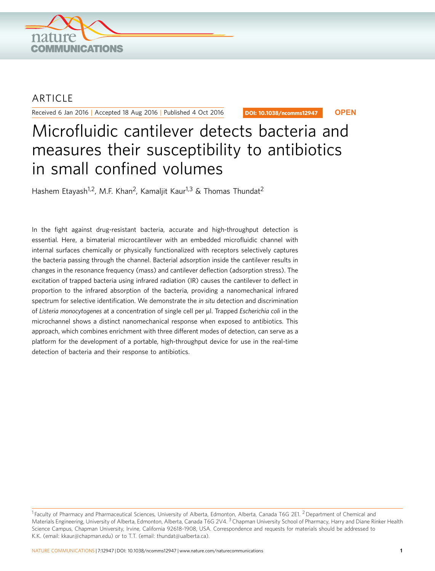

# **ARTICLE**

Received 6 Jan 2016 | Accepted 18 Aug 2016 | Published 4 Oct 2016

DOI: 10.1038/ncomms12947 **OPEN**

# Microfluidic cantilever detects bacteria and measures their susceptibility to antibiotics in small confined volumes

Hashem Etayash<sup>1,2</sup>, M.F. Khan<sup>2</sup>, Kamaljit Kaur<sup>1,3</sup> & Thomas Thundat<sup>2</sup>

In the fight against drug-resistant bacteria, accurate and high-throughput detection is essential. Here, a bimaterial microcantilever with an embedded microfluidic channel with internal surfaces chemically or physically functionalized with receptors selectively captures the bacteria passing through the channel. Bacterial adsorption inside the cantilever results in changes in the resonance frequency (mass) and cantilever deflection (adsorption stress). The excitation of trapped bacteria using infrared radiation (IR) causes the cantilever to deflect in proportion to the infrared absorption of the bacteria, providing a nanomechanical infrared spectrum for selective identification. We demonstrate the in situ detection and discrimination of Listeria monocytogenes at a concentration of single cell per µl. Trapped Escherichia coli in the microchannel shows a distinct nanomechanical response when exposed to antibiotics. This approach, which combines enrichment with three different modes of detection, can serve as a platform for the development of a portable, high-throughput device for use in the real-time detection of bacteria and their response to antibiotics.

<sup>&</sup>lt;sup>1</sup> Faculty of Pharmacy and Pharmaceutical Sciences, University of Alberta, Edmonton, Alberta, Canada T6G 2E1. <sup>2</sup> Department of Chemical and Materials Engineering, University of Alberta, Edmonton, Alberta, Canada T6G 2V4.<sup>3</sup> Chapman University School of Pharmacy, Harry and Diane Rinker Health Science Campus, Chapman University, Irvine, California 92618-1908, USA. Correspondence and requests for materials should be addressed to K.K. (email: kkaur@chapman.edu) or to T.T. (email: thundat@ualberta.ca).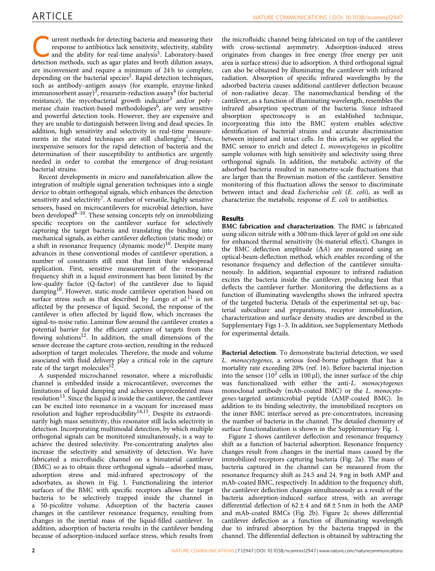urrent methods for detecting bacteria and measuring their response to antibiotics lack sensitivity, selectivity, stability and the ability for real-time analysis<sup>[1](#page-7-0)</sup>. Laboratory-based detection methods, such as agar plates and broth dilution assays, are inconvenient and require a minimum of 24 h to complete, depending on the bacterial species<sup>2</sup>. Rapid detection techniques, such as antibody–antigen assays (for example, enzyme-linked immunosorbent assay $3^3$ , resazurin-reduction assays<sup>4</sup> (for bacterial resistance), the mycobacterial growth indicator<sup>[5](#page-7-0)</sup> and/or poly-merase chain reaction-based methodologies<sup>[6](#page-7-0)</sup>, are very sensitive and powerful detection tools. However, they are expensive and they are unable to distinguish between living and dead species. In addition, high sensitivity and selectivity in real-time measure-ments in the stated techniques are still challenging<sup>[1](#page-7-0)</sup>. Hence, inexpensive sensors for the rapid detection of bacteria and the determination of their susceptibility to antibiotics are urgently needed in order to combat the emergence of drug-resistant bacterial strains.

Recent developments in micro and nanofabrication allow the integration of multiple signal generation techniques into a single device to obtain orthogonal signals, which enhances the detection sensitivity and selectivity<sup>[7](#page-7-0)</sup>. A number of versatile, highly sensitive sensors, based on microcantilevers for microbial detection, have been developed $8-10$ . These sensing concepts rely on immobilizing specific receptors on the cantilever surface for selectively capturing the target bacteria and translating the binding into mechanical signals, as either cantilever deflection (static mode) or a shift in resonance frequency (dynamic mode)<sup>10</sup>. Despite many advances in these conventional modes of cantilever operation, a number of constraints still exist that limit their widespread application. First, sensitive measurement of the resonance frequency shift in a liquid environment has been limited by the low-quality factor (Q-factor) of the cantilever due to liquid damping<sup>[10](#page-7-0)</sup>. However, static-mode cantilever operation based on surface stress such as that described by Longo et  $al$ <sup>[11](#page-7-0)</sup> is not affected by the presence of liquid. Second, the response of the cantilever is often affected by liquid flow, which increases the signal-to-noise ratio. Laminar flow around the cantilever creates a potential barrier for the efficient capture of targets from the flowing solutions $12$ . In addition, the small dimensions of the sensor decrease the capture cross-section, resulting in the reduced adsorption of target molecules. Therefore, the mode and volume associated with fluid delivery play a critical role in the capture rate of the target molecules<sup>[12](#page-7-0)</sup>.

A suspended microchannel resonator, where a microfluidic channel is embedded inside a microcantilever, overcomes the limitations of liquid damping and achieves unprecedented mass resolution<sup>13</sup>. Since the liquid is inside the cantilever, the cantilever can be excited into resonance in a vacuum for increased mass resolution and higher reproducibility<sup>[14,15](#page-7-0)</sup>. Despite its extraordinarily high mass sensitivity, this resonator still lacks selectivity in detection. Incorporating multimodal detection, by which multiple orthogonal signals can be monitored simultaneously, is a way to achieve the desired selectivity. Pre-concentrating analytes also increase the selectivity and sensitivity of detection. We have fabricated a microfluidic channel on a bimaterial cantilever (BMC) so as to obtain three orthogonal signals—adsorbed mass, adsorption stress and mid-infrared spectroscopy of the adsorbates, as shown in [Fig. 1.](#page-2-0) Functionalizing the interior surfaces of the BMC with specific receptors allows the target bacteria to be selectively trapped inside the channel in a 50-picolitre volume. Adsorption of the bacteria causes changes in the cantilever resonance frequency, resulting from changes in the inertial mass of the liquid-filled cantilever. In addition, adsorption of bacteria results in the cantilever bending because of adsorption-induced surface stress, which results from

the microfluidic channel being fabricated on top of the cantilever with cross-sectional asymmetry. Adsorption-induced stress originates from changes in free energy (free energy per unit area is surface stress) due to adsorption. A third orthogonal signal can also be obtained by illuminating the cantilever with infrared radiation. Absorption of specific infrared wavelengths by the adsorbed bacteria causes additional cantilever deflection because of non-radiative decay. The nanomechanical bending of the cantilever, as a function of illuminating wavelength, resembles the infrared absorption spectrum of the bacteria. Since infrared absorption spectroscopy is an established technique, spectroscopy is an established technique, incorporating this into the BMC system enables selective identification of bacterial strains and accurate discrimination between injured and intact cells. In this article, we applied the BMC sensor to enrich and detect L. monocytogenes in picolitre sample volumes with high sensitivity and selectivity using three orthogonal signals. In addition, the metabolic activity of the adsorbed bacteria resulted in nanometre-scale fluctuations that are larger than the Brownian motion of the cantilever. Sensitive monitoring of this fluctuation allows the sensor to discriminate between intact and dead Escherichia coli (E. coli), as well as characterize the metabolic response of E. coli to antibiotics.

# Results

BMC fabrication and characterization. The BMC is fabricated using silicon nitride with a 300 nm-thick layer of gold on one side for enhanced thermal sensitivity (bi-material effect). Changes in the BMC deflection amplitude  $(\Delta A)$  are measured using an optical-beam-deflection method, which enables recording of the resonance frequency and deflection of the cantilever simultaneously. In addition, sequential exposure to infrared radiation excites the bacteria inside the cantilever, producing heat that deflects the cantilever further. Monitoring the deflections as a function of illuminating wavelengths shows the infrared spectra of the targeted bacteria. Details of the experimental set-up, bacterial subculture and preparations, receptor immobilization, characterization and surface density studies are described in the Supplementary Figs 1–3. In addition, see Supplementary Methods for experimental details.

Bacterial detection. To demonstrate bacterial detection, we used L. monocytogenes, a serious food-borne pathogen that has a mortality rate exceeding 20% ([ref. 16](#page-8-0)). Before bacterial injection into the sensor ( $10^2$  cells in 100 µl), the inner surface of the chip was functionalized with either the anti-L. monocytogenes monoclonal antibody (mAb-coated BMC) or the L. monocytogenes-targeted antimicrobial peptide (AMP-coated BMC). In addition to its binding selectivity, the immobilized receptors on the inner BMC interface served as pre-concentrators, increasing the number of bacteria in the channel. The detailed chemistry of surface functionalization is shown in the Supplementary Fig. 1.

[Figure 2](#page-3-0) shows cantilever deflection and resonance frequency shift as a function of bacterial adsorption. Resonance frequency changes result from changes in the inertial mass caused by the immobilized receptors capturing bacteria ([Fig. 2a\)](#page-3-0). The mass of bacteria captured in the channel can be measured from the resonance frequency shift as 24.5 and 24. 9 ng in both AMP and mAb-coated BMC, respectively. In addition to the frequency shift, the cantilever deflection changes simultaneously as a result of the bacteria adsorption-induced surface stress, with an average differential deflection of  $62 \pm 4$  and  $68 \pm 5$  nm in both the AMP and mAb-coated BMCs ([Fig. 2b](#page-3-0)). [Figure 2c](#page-3-0) shows differential cantilever deflection as a function of illuminating wavelength due to infrared absorption by the bacteria trapped in the channel. The differential deflection is obtained by subtracting the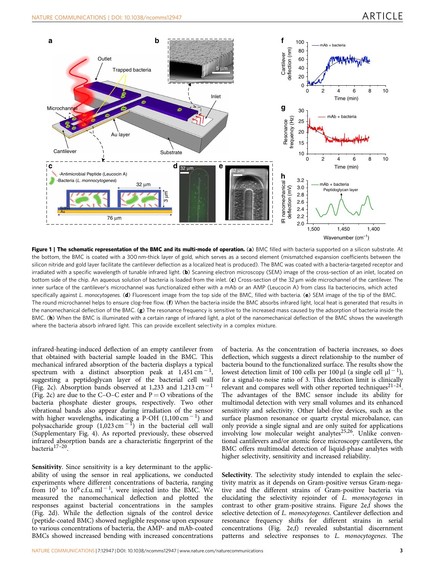<span id="page-2-0"></span>

Figure 1 | The schematic representation of the BMC and its multi-mode of operation. (a) BMC filled with bacteria supported on a silicon substrate. At the bottom, the BMC is coated with a 300 nm-thick layer of gold, which serves as a second element (mismatched expansion coefficients between the silicon nitride and gold layer facilitate the cantilever deflection as a localized heat is produced). The BMC was coated with a bacteria-targeted receptor and irradiated with a specific wavelength of tunable infrared light. (b) Scanning electron microscopy (SEM) image of the cross-section of an inlet, located on bottom side of the chip. An aqueous solution of bacteria is loaded from the inlet. (c) Cross-section of the 32 um wide microchannel of the cantilever. The inner surface of the cantilever's microchannel was functionalized either with a mAb or an AMP (Leucocin A) from class IIa bacteriocins, which acted specifically against L. monocytogenes. (d) Fluorescent image from the top side of the BMC, filled with bacteria. (e) SEM image of the tip of the BMC. The round microchannel helps to ensure clog-free flow. (f) When the bacteria inside the BMC absorbs infrared light, local heat is generated that results in the nanomechanical deflection of the BMC.  $(g)$  The resonance frequency is sensitive to the increased mass caused by the adsorption of bacteria inside the BMC. (h) When the BMC is illuminated with a certain range of infrared light, a plot of the nanomechanical deflection of the BMC shows the wavelength where the bacteria absorb infrared light. This can provide excellent selectivity in a complex mixture.

infrared-heating-induced deflection of an empty cantilever from that obtained with bacterial sample loaded in the BMC. This mechanical infrared absorption of the bacteria displays a typical spectrum with a distinct absorption peak at  $1,451 \text{ cm}^{-1}$ , suggesting a peptidoglycan layer of the bacterial cell wall ([Fig. 2c](#page-3-0)). Absorption bands observed at 1,233 and 1,213 cm<sup>-1</sup> ([Fig. 2c\)](#page-3-0) are due to the C–O–C ester and  $P = O$  vibrations of the bacteria phosphate diester groups, respectively. Two other vibrational bands also appear during irradiation of the sensor with higher wavelengths, indicating a P-OH  $(1,100 \text{ cm}^{-1})$  and polysaccharide group  $(1,023 \text{ cm}^{-1})$  in the bacterial cell wall (Supplementary Fig. 4). As reported previously, these observed infrared absorption bands are a characteristic fingerprint of the bacteria[17–20.](#page-8-0)

Sensitivity. Since sensitivity is a key determinant to the applicability of using the sensor in real applications, we conducted experiments where different concentrations of bacteria, ranging from  $10^3$  to  $10^6$  c.f.u. ml<sup>-1</sup>, were injected into the BMC. We measured the nanomechanical deflection and plotted the responses against bacterial concentrations in the samples ([Fig. 2d\)](#page-3-0). While the deflection signals of the control device (peptide-coated BMC) showed negligible response upon exposure to various concentrations of bacteria, the AMP- and mAb-coated BMCs showed increased bending with increased concentrations

of bacteria. As the concentration of bacteria increases, so does deflection, which suggests a direct relationship to the number of bacteria bound to the functionalized surface. The results show the lowest detection limit of 100 cells per 100  $\mu$ l (a single cell  $\mu$ l<sup>-1</sup>), for a signal-to-noise ratio of 3. This detection limit is clinically relevant and compares well with other reported techniques<sup>21-24</sup>. The advantages of the BMC sensor include its ability for multimodal detection with very small volumes and its enhanced sensitivity and selectivity. Other label-free devices, such as the surface plasmon resonance or quartz crystal microbalance, can only provide a single signal and are only suited for applications involving low molecular weight analytes<sup>25,26</sup>. Unlike conventional cantilevers and/or atomic force microscopy cantilevers, the BMC offers multimodal detection of liquid-phase analytes with higher selectivity, sensitivity and increased reliability.

Selectivity. The selectivity study intended to explain the selectivity matrix as it depends on Gram-positive versus Gram-negative and the different strains of Gram-positive bacteria via elucidating the selectivity rejoinder of L. monocytogenes in contrast to other gram-positive strains. [Figure 2e,f](#page-3-0) shows the selective detection of *L. monocytogenes*. Cantilever deflection and resonance frequency shifts for different strains in serial concentrations ([Fig. 2e,f\)](#page-3-0) revealed substantial discernment patterns and selective responses to L. monocytogenes. The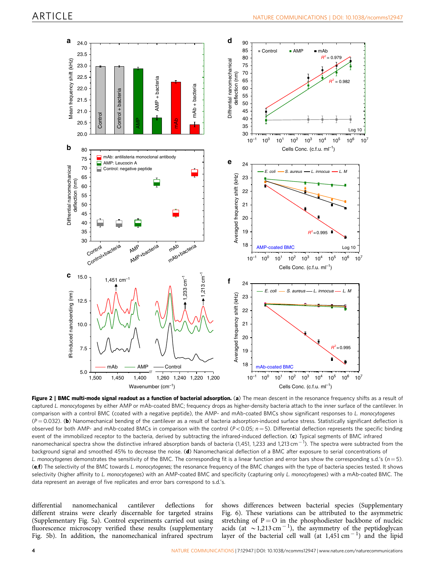<span id="page-3-0"></span>

Figure 2 | BMC multi-mode signal readout as a function of bacterial adsorption. (a) The mean descent in the resonance frequency shifts as a result of captured L. monocytogenes by either AMP or mAb-coated BMC; frequency drops as higher-density bacteria attach to the inner surface of the cantilever. In comparison with a control BMC (coated with a negative peptide), the AMP- and mAb-coated BMCs show significant responses to L. monocytogenes  $(P = 0.032)$ . (b) Nanomechanical bending of the cantilever as a result of bacteria adsorption-induced surface stress. Statistically significant deflection is observed for both AMP- and mAb-coated BMCs in comparison with the control ( $P < 0.05$ ;  $n = 5$ ). Differential deflection represents the specific binding event of the immobilized receptor to the bacteria, derived by subtracting the infrared-induced deflection. (c) Typical segments of BMC infrared nanomechanical spectra show the distinctive infrared absorption bands of bacteria (1,451, 1,233 and 1,213 cm $^{-1}$ ). The spectra were subtracted from the background signal and smoothed 45% to decrease the noise. (d) Nanomechanical deflection of a BMC after exposure to serial concentrations of L. monocytogenes demonstrates the sensitivity of the BMC. The corresponding fit is a linear function and error bars show the corresponding s.d.'s ( $n=5$ ). (e,f) The selectivity of the BMC towards L. monocytogenes; the resonance frequency of the BMC changes with the type of bacteria species tested. It shows selectivity (higher affinity to L. monocytogenes) with an AMP-coated BMC and specificity (capturing only L. monocytogenes) with a mAb-coated BMC. The data represent an average of five replicates and error bars correspond to s.d.'s.

differential nanomechanical cantilever deflections for different strains were clearly discernable for targeted strains (Supplementary Fig. 5a). Control experiments carried out using fluorescence microscopy verified these results (supplementary Fig. 5b). In addition, the nanomechanical infrared spectrum

shows differences between bacterial species (Supplementary Fig. 6). These variations can be attributed to the asymmetric stretching of  $P = O$  in the phosphodiester backbone of nucleic acids (at  $\sim$  1,213 cm<sup>-1</sup>), the asymmetry of the peptidoglycan layer of the bacterial cell wall (at  $1,451 \text{ cm}^{-1}$ ) and the lipid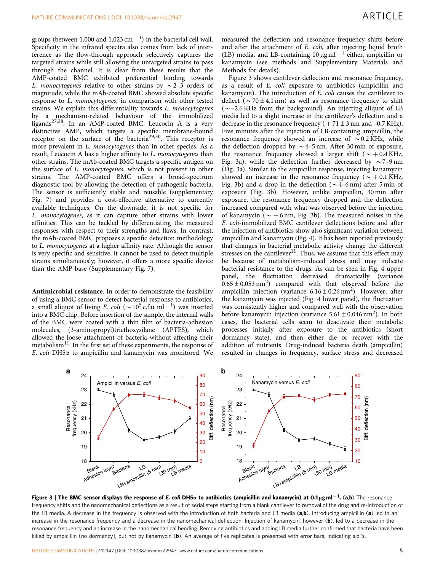<span id="page-4-0"></span>groups (between 1,000 and 1,023 cm $^{-1}$ ) in the bacterial cell wall. Specificity in the infrared spectra also comes from lack of interference as the flow-through approach selectively captures the targeted strains while still allowing the untargeted strains to pass through the channel. It is clear from these results that the AMP-coated BMC exhibited preferential binding towards L. monocytogenes relative to other strains by  $\sim$  2–3 orders of magnitude, while the mAb-coated BMC showed absolute specific response to L. monocytogenes, in comparison with other tested strains. We explain this differentiality towards L. monocytogenes by a mechanism-related behaviour of the immobilized ligands<sup>27,28</sup>. In an AMP-coated BMC, Leucocin A is a very distinctive AMP, which targets a specific membrane-bound receptor on the surface of the bacteria<sup>29,30</sup>. This receptor is more prevalent in L. monocytogenes than in other species. As a result, Leucocin A has a higher affinity to L. monocytogenes than other strains. The mAb-coated BMC targets a specific antigen on the surface of L. monocytogenes, which is not present in other strains. The AMP-coated BMC offers a broad-spectrum diagnostic tool by allowing the detection of pathogenic bacteria. The sensor is sufficiently stable and reusable (supplementary Fig. 7) and provides a cost-effective alternative to currently available techniques. On the downside, it is not specific for L. monocytogenes, as it can capture other strains with lower affinities. This can be tackled by differentiating the measured responses with respect to their strengths and flaws. In contrast, the mAb-coated BMC proposes a specific detection methodology to L. monocytogenes at a higher affinity rate. Although the sensor is very specific and sensitive, it cannot be used to detect multiple strains simultaneously; however, it offers a more specific device than the AMP-base (Supplementary Fig. 7).

Antimicrobial resistance. In order to demonstrate the feasibility of using a BMC sensor to detect bacterial response to antibiotics, a small aliquot of living E. coli ( $\sim 10^5$  c.f.u. ml<sup>-1</sup>) was inserted into a BMC chip. Before insertion of the sample, the internal walls of the BMC were coated with a thin film of bacteria-adhesion molecules, (3-aminopropyl)triethoxysilane (APTES), which allowed the loose attachment of bacteria without affecting their metabolism<sup>11</sup>. In the first set of these experiments, the response of E. coli DH5a to ampicillin and kanamycin was monitored. We measured the deflection and resonance frequency shifts before and after the attachment of E. coli, after injecting liquid broth (LB) media, and LB-containing  $10 \mu g$  ml<sup>-1</sup> either, ampicillin or kanamycin (see methods and Supplementary Materials and Methods for details).

Figure 3 shows cantilever deflection and resonance frequency, as a result of E. coli exposure to antibiotics (ampicillin and kanamycin). The introduction of E. coli causes the cantilever to deflect ( $\sim$  70 ± 4.1 nm) as well as resonance frequency to shift  $(\sim$  -2.6 KHz from the background). An injecting aliquot of LB media led to a slight increase in the cantilever's deflection and a decrease in the resonance frequency ( $+71 \pm 3$  nm and  $-0.7$  KHz). Five minutes after the injection of LB-containing ampicillin, the resonance frequency showed an increase of  $\sim 0.2$  KHz, while the deflection dropped by  $\sim$  4–5 nm. After 30 min of exposure, the resonance frequency showed a larger shift ( $\sim +0.4$  KHz, Fig. 3a), while the deflection further decreased by  $\sim$  7–9 nm (Fig. 3a). Similar to the ampicillin response, injecting kanamycin showed an increase in the resonance frequency ( $\sim +0.1$  KHz, Fig. 3b) and a drop in the deflection ( $\sim$  4–6 nm) after 5 min of exposure (Fig. 3b). However, unlike ampicillin, 30 min after exposure, the resonance frequency dropped and the deflection increased compared with what was observed before the injection of kanamycin ( $\sim +6$  nm, Fig. 3b). The measured noises in the E. coli-immobilized BMC cantilever deflections before and after the injection of antibiotics show also significant variation between ampicillin and kanamycin [\(Fig. 4\)](#page-5-0). It has been reported previously that changes in bacterial metabolic activity change the different stresses on the cantilever<sup>11</sup>. Thus, we assume that this effect may be because of metabolism-induced stress and may indicate bacterial resistance to the drugs. As can be seen in [Fig. 4](#page-5-0) upper<br>panel, the fluctuation decreased dramatically (variance panel, the fluctuation decreased dramatically  $0.65 \pm 0.053$  nm<sup>2</sup>) compared with that observed before the ampicillin injection (variance  $6.16 \pm 0.26$  nm<sup>2</sup>). However, after the kanamycin was injected [\(Fig. 4](#page-5-0) lower panel), the fluctuation was consistently higher and compared well with the observation before kanamycin injection (variance  $5.61 \pm 0.046$  nm<sup>2</sup>). In both cases, the bacterial cells seem to deactivate their metabolic processes initially after exposure to the antibiotics (short dormancy state), and then either die or recover with the addition of nutrients. Drug-induced bacteria death (ampicillin) resulted in changes in frequency, surface stress and decreased



Figure 3 | The BMC sensor displays the response of *E. coli* DH5x to antibiotics (ampicillin and kanamycin) at 0.1µgml<sup>-1</sup>. (a,b) The resonance frequency shifts and the nanomechanical deflections as a result of serial steps starting from a blank cantilever to removal of the drug and re-introduction of the LB media. A decrease in the frequency is observed with the introduction of both bacteria and LB media  $(a,b)$ . Introducing ampicillin  $(a)$  led to an increase in the resonance frequency and a decrease in the nanomechanical deflection. Injection of kanamycin, however (b), led to a decrease in the resonance frequency and an increase in the nanomechanical bending. Removing antibiotics and adding LB media further confirmed that bacteria have been killed by ampicillin (no dormancy), but not by kanamycin (b). An average of five replicates is presented with error bars, indicating s.d.'s.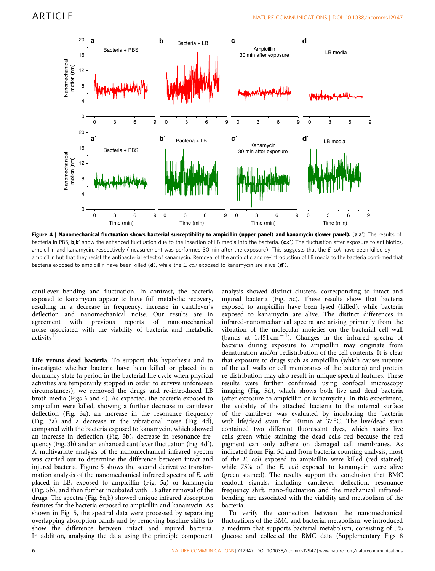<span id="page-5-0"></span>

Figure 4 | Nanomechanical fluctuation shows bacterial susceptibility to ampicillin (upper panel) and kanamycin (lower panel). (a,a') The results of bacteria in PBS; **b,b'** show the enhanced fluctuation due to the insertion of LB media into the bacteria. (c,c') The fluctuation after exposure to antibiotics, ampicillin and kanamycin, respectively (measurement was performed 30 min after the exposure). This suggests that the E. coli have been killed by ampicillin but that they resist the antibacterial effect of kanamycin. Removal of the antibiotic and re-introduction of LB media to the bacteria confirmed that bacteria exposed to ampicillin have been killed (d), while the E. coli exposed to kanamycin are alive (d').

cantilever bending and fluctuation. In contrast, the bacteria exposed to kanamycin appear to have full metabolic recovery, resulting in a decrease in frequency, increase in cantilever's deflection and nanomechanical noise. Our results are in agreement with previous reports of nanomechanical noise associated with the viability of bacteria and metabolic activity<sup>[11](#page-7-0)</sup>.

Life versus dead bacteria. To support this hypothesis and to investigate whether bacteria have been killed or placed in a dormancy state (a period in the bacterial life cycle when physical activities are temporarily stopped in order to survive unforeseen circumstances), we removed the drugs and re-introduced LB broth media ([Figs 3 and 4](#page-4-0)). As expected, the bacteria exposed to ampicillin were killed, showing a further decrease in cantilever deflection ([Fig. 3a\)](#page-4-0), an increase in the resonance frequency ([Fig. 3a](#page-4-0)) and a decrease in the vibrational noise (Fig. 4d), compared with the bacteria exposed to kanamycin, which showed an increase in deflection ([Fig. 3b](#page-4-0)), decrease in resonance fre-quency [\(Fig. 3b](#page-4-0)) and an enhanced cantilever fluctuation (Fig. 4d'). A multivariate analysis of the nanomechanical infrared spectra was carried out to determine the difference between intact and injured bacteria. [Figure 5](#page-6-0) shows the second derivative transformation analysis of the nanomechanical infrared spectra of E. coli placed in LB, exposed to ampicillin ([Fig. 5a\)](#page-6-0) or kanamycin ([Fig. 5b](#page-6-0)), and then further incubated with LB after removal of the drugs. The spectra ([Fig. 5a,b\)](#page-6-0) showed unique infrared absorption features for the bacteria exposed to ampicillin and kanamycin. As shown in [Fig. 5](#page-6-0), the spectral data were processed by separating overlapping absorption bands and by removing baseline shifts to show the difference between intact and injured bacteria. In addition, analysing the data using the principle component

analysis showed distinct clusters, corresponding to intact and injured bacteria [\(Fig. 5c\)](#page-6-0). These results show that bacteria exposed to ampicillin have been lysed (killed), while bacteria exposed to kanamycin are alive. The distinct differences in infrared-nanomechanical spectra are arising primarily from the vibration of the molecular moieties on the bacterial cell wall (bands at  $1,451 \text{ cm}^{-1}$ ). Changes in the infrared spectra of bacteria during exposure to ampicillin may originate from denaturation and/or redistribution of the cell contents. It is clear that exposure to drugs such as ampicillin (which causes rupture of the cell walls or cell membranes of the bacteria) and protein re-distribution may also result in unique spectral features. These results were further confirmed using confocal microscopy imaging ([Fig. 5d](#page-6-0)), which shows both live and dead bacteria (after exposure to ampicillin or kanamycin). In this experiment, the viability of the attached bacteria to the internal surface of the cantilever was evaluated by incubating the bacteria with life/dead stain for 10 min at 37 °C. The live/dead stain contained two different fluorescent dyes, which stains live cells green while staining the dead cells red because the red pigment can only adhere on damaged cell membranes. As indicated from [Fig. 5d](#page-6-0) and from bacteria counting analysis, most of the E. coli exposed to ampicillin were killed (red stained) while 75% of the E. coli exposed to kanamycin were alive (green stained). The results support the conclusion that BMC readout signals, including cantilever deflection, resonance frequency shift, nano-fluctuation and the mechanical infraredbending, are associated with the viability and metabolism of the bacteria.

To verify the connection between the nanomechanical fluctuations of the BMC and bacterial metabolism, we introduced a medium that supports bacterial metabolism, consisting of 5% glucose and collected the BMC data (Supplementary Figs 8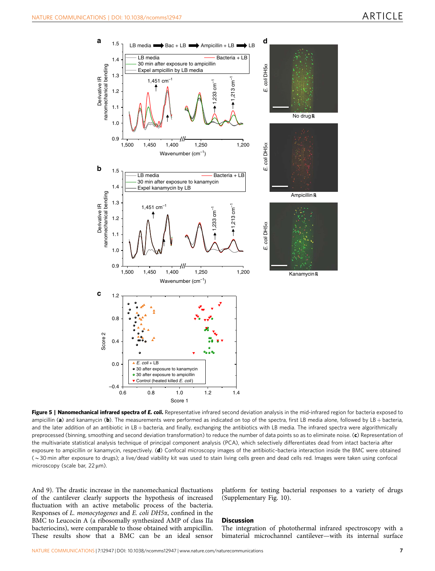<span id="page-6-0"></span>

Figure 5 | Nanomechanical infrared spectra of E. coli. Representative infrared second deviation analysis in the mid-infrared region for bacteria exposed to ampicillin (a) and kanamycin (b). The measurements were performed as indicated on top of the spectra, first LB media alone, followed by LB + bacteria, and the later addition of an antibiotic in LB + bacteria, and finally, exchanging the antibiotics with LB media. The infrared spectra were algorithmically preprocessed (binning, smoothing and second deviation transformation) to reduce the number of data points so as to eliminate noise. (c) Representation of the multivariate statistical analysis technique of principal component analysis (PCA), which selectively differentiates dead from intact bacteria after exposure to ampicillin or kanamycin, respectively. (d) Confocal microscopy images of the antibiotic-bacteria interaction inside the BMC were obtained (B30 min after exposure to drugs); a live/dead viability kit was used to stain living cells green and dead cells red. Images were taken using confocal microscopy (scale bar,  $22 \mu m$ ).

And 9). The drastic increase in the nanomechanical fluctuations of the cantilever clearly supports the hypothesis of increased fluctuation with an active metabolic process of the bacteria. Responses of L. monocytogenes and E. coli DH5a, confined in the BMC to Leucocin A (a ribosomally synthesized AMP of class IIa bacteriocins), were comparable to those obtained with ampicillin. These results show that a BMC can be an ideal sensor

platform for testing bacterial responses to a variety of drugs (Supplementary Fig. 10).

#### **Discussion**

The integration of photothermal infrared spectroscopy with a bimaterial microchannel cantilever—with its internal surface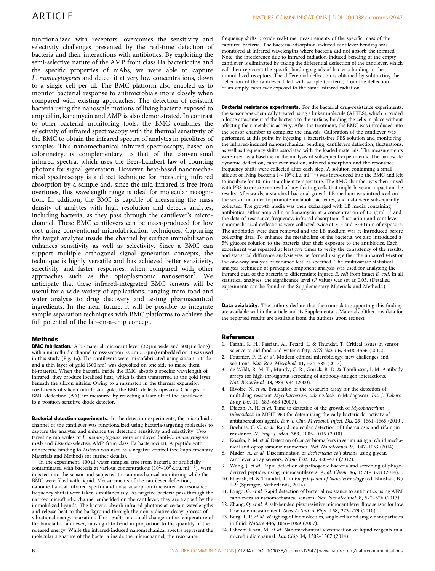<span id="page-7-0"></span>functionalized with receptors—overcomes the sensitivity and selectivity challenges presented by the real-time detection of bacteria and their interactions with antibiotics. By exploiting the semi-selective nature of the AMP from class IIa bacteriocins and the specific properties of mAbs, we were able to capture L. monocytogenes and detect it at very low concentrations, down to a single cell per ul. The BMC platform also enabled us to monitor bacterial response to antimicrobials more closely when compared with existing approaches. The detection of resistant bacteria using the nanoscale motions of living bacteria exposed to ampicillin, kanamycin and AMP is also demonstrated. In contrast to other bacterial monitoring tools, the BMC combines the selectivity of infrared spectroscopy with the thermal sensitivity of the BMC to obtain the infrared spectra of analytes in picolitres of samples. This nanomechanical infrared spectroscopy, based on calorimetry, is complementary to that of the conventional infrared spectra, which uses the Beer-Lambert law of counting photons for signal generation. However, heat-based nanomechanical spectroscopy is a direct technique for measuring infrared absorption by a sample and, since the mid-infrared is free from overtones, this wavelength range is ideal for molecular recognition. In addition, the BMC is capable of measuring the mass density of analytes with high resolution and detects analytes, including bacteria, as they pass through the cantilever's microchannel. These BMC cantilevers can be mass-produced for low cost using conventional microfabrication techniques. Capturing the target analytes inside the channel by surface immobilization enhances sensitivity as well as selectivity. Since a BMC can support multiple orthogonal signal generation concepts, the technique is highly versatile and has achieved better sensitivity, selectivity and faster responses, when compared with other approaches such as the optoplasmonic nanosensor<sup>7</sup>. We anticipate that these infrared-integrated BMC sensors will be useful for a wide variety of applications, ranging from food and water analysis to drug discovery and testing pharmaceutical ingredients. In the near future, it will be possible to integrate sample separation techniques with BMC platforms to achieve the full potential of the lab-on-a-chip concept.

## **Methods**

**BMC fabrication.** A bi-material microcantilever  $(32 \mu m)$  wide and  $600 \mu m$  long) with a microfluidic channel (cross-section  $32 \mu m \times 3 \mu m$ ) embedded on it was used in this study ([Fig. 1a\)](#page-2-0). The cantilevers were mircofabricated using silicon nitride and a thin layer of gold (300 nm) was deposited on one side to make them bi-material. When the bacteria inside the BMC absorb a specific wavelength of infrared, they produce localized heat, which is then transferred to the gold layer beneath the silicon nitride. Owing to a mismatch in the thermal expansion coefficients of silicon nitride and gold, the BMC deflects upwards. Changes in BMC deflection  $(\Delta A)$  are measured by reflecting a laser off of the cantilever to a position-sensitive diode detector.

Bacterial detection experiments. In the detection experiments, the microfluidic channel of the cantilever was functionalized using bacteria-targeting molecules to capture the analytes and enhance the detection sensitivity and selectivity. Two targeting molecules of L. monocytogenes were employed (anti-L. monocytogenes mAb and Listeria-selective AMP from class IIa bacteriocins). A peptide with nonspecific binding to Listeria was used as a negative control (see Supplementary Materials and Methods for further details).

In the experiment, 100 µl water samples, free from bacteria or artificially contaminated with bacteria at various concentrations  $(10^2 - 10^5 \text{ c.f.u. m}1^{-1})$ , were injected into the sensor and subjected to nanomechanical monitoring while the BMC were filled with liquid. Measurements of the cantilever deflection, nanomechanical infrared spectra and mass adsorption (measured as resonance frequency shifts) were taken simultaneously. As targeted bacteria pass through the narrow microfluidic channel embedded on the cantilever, they are trapped by the immobilized ligands. The bacteria absorb infrared photons at certain wavelengths and release heat to the background through the non-radiative decay process of vibrational energy relaxation. This results in a small change in the temperature of the bimetallic cantilever, causing it to bend in proportion to the quantity of the released energy. While the infrared-induced nanomechanical spectra represent the molecular signature of the bacteria inside the microchannel, the resonance

frequency shifts provide real-time measurements of the specific mass of the captured bacteria. The bacteria-adsorption-induced cantilever bending was monitored at infrared wavelengths where bacteria did not absorb the infrared. Note: the interference due to infrared radiation-induced bending of the empty cantilever is eliminated by taking the differential deflection of the cantilever, which will then represent the specific binding signals of bacteria binding to the immobilized receptors. The differential deflection is obtained by subtracting the deflection of the cantilever filled with sample (bacteria) from the deflection of an empty cantilever exposed to the same infrared radiation.

**Bacterial resistance experiments.** For the bacterial drug-resistance experiments, the sensor was chemically treated using a linker molecule (APTES), which provided a loose attachment of the bacteria to the surface, holding the cells in place without affecting their metabolic activity. After the treatment, the BMC was introduced into the sensor chamber to complete the analysis. Calibration of the cantilever was performed at this point by injecting a bacteria-free PBS solution and monitoring the infrared-induced nanomechanical bending, cantilevers deflection, fluctuations, as well as frequency shifts associated with the loaded materials. The measurements were used as a baseline in the analysis of subsequent experiments. The nanoscale dynamic deflection, cantilever motion, infrared absorption and the resonance frequency shifts were collected after each step. A solution containing a small aliquot of living bacteria ( $\sim$  10<sup>5</sup> c.f.u. ml<sup>-1</sup>) was introduced into the BMC and left to incubate for 10 min at ambient temperature. The BMC chamber was then rinsed with PBS to ensure removal of any floating cells that might have an impact on the results. Afterwards, a standard bacterial growth LB medium was introduced on the sensor in order to promote metabolic activities, and data were subsequently collected. The growth media was then exchanged with LB media containing antibiotics; either ampicillin or kanamycin at a concentration of 10  $\mu$ g ml<sup>-1</sup> and the data of resonance frequency, infrared absorption, fluctuation and cantilever nanomechanical deflections were collected twice at  $\sim$  5 and  $\sim$  30 min of exposure. The antibiotics were then removed and the LB medium was re-introduced before collecting data. To enhance the metabolism of the bacteria, we also introduced a 5% glucose solution to the bacteria after their exposure to the antibiotics. Each experiment was repeated at least five times to verify the consistency of the results, and statistical difference analysis was performed using either the unpaired t-test or the one-way analysis of variance test, as specified. The multivariate statistical analysis technique of principle component analysis was used for analysing the infrared data of the bacteria to differentiate injured E. coli from intact E. coli. In all statistical analyses, the significance level (P value) was set as 0.05. (Detailed experiments can be found in the Supplementary Materials and Methods.)

Data avialabity. The authors declare that the some data supporting this finding are available within the article and its Supplementary Materials. Other raw data for the reported results are available from the authors upon request

#### References

- 1. Farahi, R. H., Passian, A., Tetard, L. & Thundat, T. Critical issues in sensor science to aid food and water safety. ACS Nano 6, 4548–4556 (2012).
- 2. Fournier, P. E. et al. Modern clinical microbiology: new challenges and solutions. Nat. Rev. Microbiol. 11, 574–585 (2013).
- 3. de Wildt, R. M. T., Mundy, C. R., Gorick, B. D. & Tomlinson, I. M. Antibody arrays for high-throughput screening of antibody-antigen interactions. Nat. Biotechnol. 18, 989–994 (2000).
- 4. Rivoire, N. et al. Evaluation of the resazurin assay for the detection of multidrug-resistant Mycobacterium tuberculosis in Madagascar. Int. J. Tuberc. Lung Dis. 11, 683–688 (2007).
- 5. Diacon, A. H. et al. Time to detection of the growth of Mycobacterium tuberculosis in MGIT 960 for determining the early bactericidal activity of antituberculosis agents. Eur. J. Clin. Microbiol. Infect. Dis. 29, 1561–1565 (2010).
- 6. Boehme, C. C. et al. Rapid molecular detection of tuberculosis and rifampin resistance. N. Engl. J. Med. 363, 1005–1015 (2010).
- Kosaka, P. M. et al. Detection of cancer biomarkers in serum using a hybrid mechanical and optoplasmonic nanosensor. Nat. Nanotechnol. 9, 1047–1053 (2014).
- 8. Mader, A. et al. Discrimination of Escherichia coli strains using glycan cantilever array sensors. Nano Lett. 12, 420–423 (2012).
- 9. Wang, J. et al. Rapid detection of pathogenic bacteria and screening of phagederived peptides using microcantilevers. Anal. Chem. 86, 1671-1678 (2014).
- 10. Etayash, H. & Thundat, T. in Encyclopedia of Nanotechnology (ed. Bhushan, B.) 1–9 (Springer, Netherlands, 2014).
- 11. Longo, G. et al. Rapid detection of bacterial resistance to antibiotics using AFM cantilevers as nanomechanical sensors. Nat. Nanotechnol. 8, 522–526 (2013).
- 12. Zhang, Q. et al. A self-bended piezoresistive microcantilever flow sensor for low flow rate measurement. Sens Actuat A Phys. 158, 273–279 (2010).
- 13. Burg, T. P. et al. Weighing of biomolecules, single cells and single nanoparticles in fluid. Nature 446, 1066–1069 (2007).
- 14. Faheem Khan, M. et al. Nanomechanical identification of liquid reagents in a microfluidic channel. Lab.Chip 14, 1302–1307 (2014).